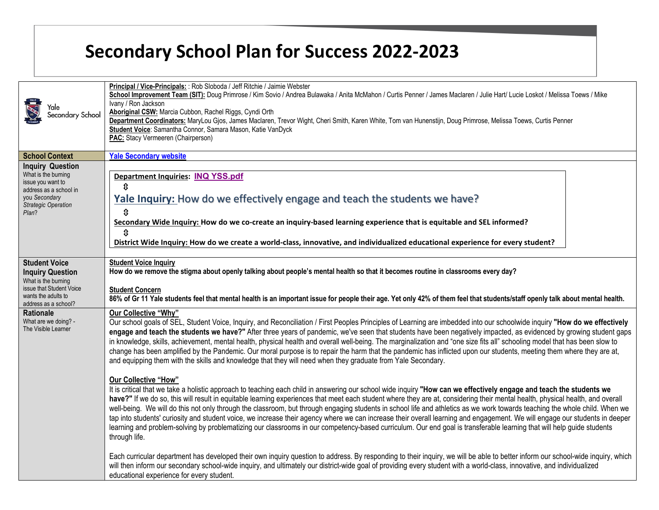| rale)<br>Secondary School                                                                                                                             | Principal / Vice-Principals: : Rob Sloboda / Jeff Ritchie / Jaimie Webster<br>School Improvement Team (SIT): Doug Primrose / Kim Sovio / Andrea Bulawaka / Anita McMahon / Curtis Penner / James Maclaren / Julie Hart/ Lucie Loskot / Melissa Toews / Mike<br>Ivany / Ron Jackson<br>Aboriginal CSW: Marcia Cubbon, Rachel Riggs, Cyndi Orth<br>Department Coordinators: MaryLou Gjos, James Maclaren, Trevor Wight, Cheri Smith, Karen White, Tom van Hunenstijn, Doug Primrose, Melissa Toews, Curtis Penner<br>Student Voice: Samantha Connor, Samara Mason, Katie VanDyck<br>PAC: Stacy Vermeeren (Chairperson)                                                                                                                                                                                                                                                                                                                          |
|-------------------------------------------------------------------------------------------------------------------------------------------------------|-----------------------------------------------------------------------------------------------------------------------------------------------------------------------------------------------------------------------------------------------------------------------------------------------------------------------------------------------------------------------------------------------------------------------------------------------------------------------------------------------------------------------------------------------------------------------------------------------------------------------------------------------------------------------------------------------------------------------------------------------------------------------------------------------------------------------------------------------------------------------------------------------------------------------------------------------|
| <b>School Context</b>                                                                                                                                 | <b>Yale Secondary website</b>                                                                                                                                                                                                                                                                                                                                                                                                                                                                                                                                                                                                                                                                                                                                                                                                                                                                                                                 |
| <b>Inquiry Question</b><br>What is the burning<br>issue you want to<br>address as a school in<br>you Secondary<br><b>Strategic Operation</b><br>Plan? | Department Inquiries: INQ YSS.pdf<br>⇕<br>Yale Inquiry: How do we effectively engage and teach the students we have?<br>$\mathbf{\hat{v}}$<br>Secondary Wide Inquiry: How do we co-create an inquiry-based learning experience that is equitable and SEL informed?<br>û<br>District Wide Inquiry: How do we create a world-class, innovative, and individualized educational experience for every student?                                                                                                                                                                                                                                                                                                                                                                                                                                                                                                                                    |
| <b>Student Voice</b><br><b>Inquiry Question</b><br>What is the burning<br>issue that Student Voice<br>wants the adults to<br>address as a school?     | <b>Student Voice Inquiry</b><br>How do we remove the stigma about openly talking about people's mental health so that it becomes routine in classrooms every day?<br><b>Student Concern</b><br>86% of Gr 11 Yale students feel that mental health is an important issue for people their age. Yet only 42% of them feel that students/staff openly talk about mental health.                                                                                                                                                                                                                                                                                                                                                                                                                                                                                                                                                                  |
| <b>Rationale</b><br>What are we doing? -<br>The Visible Learner                                                                                       | Our Collective "Why"<br>Our school goals of SEL, Student Voice, Inquiry, and Reconciliation / First Peoples Principles of Learning are imbedded into our schoolwide inquiry "How do we effectively<br>engage and teach the students we have?" After three years of pandemic, we've seen that students have been negatively impacted, as evidenced by growing student gaps<br>in knowledge, skills, achievement, mental health, physical health and overall well-being. The marginalization and "one size fits all" schooling model that has been slow to<br>change has been amplified by the Pandemic. Our moral purpose is to repair the harm that the pandemic has inflicted upon our students, meeting them where they are at,<br>and equipping them with the skills and knowledge that they will need when they graduate from Yale Secondary.                                                                                             |
|                                                                                                                                                       | <b>Our Collective "How"</b><br>It is critical that we take a holistic approach to teaching each child in answering our school wide inquiry "How can we effectively engage and teach the students we<br>have?" If we do so, this will result in equitable learning experiences that meet each student where they are at, considering their mental health, physical health, and overall<br>well-being. We will do this not only through the classroom, but through engaging students in school life and athletics as we work towards teaching the whole child. When we<br>tap into students' curiosity and student voice, we increase their agency where we can increase their overall learning and engagement. We will engage our students in deeper<br>learning and problem-solving by problematizing our classrooms in our competency-based curriculum. Our end goal is transferable learning that will help guide students<br>through life. |
|                                                                                                                                                       | Each curricular department has developed their own inquiry question to address. By responding to their inquiry, we will be able to better inform our school-wide inquiry, which<br>will then inform our secondary school-wide inquiry, and ultimately our district-wide goal of providing every student with a world-class, innovative, and individualized<br>educational experience for every student.                                                                                                                                                                                                                                                                                                                                                                                                                                                                                                                                       |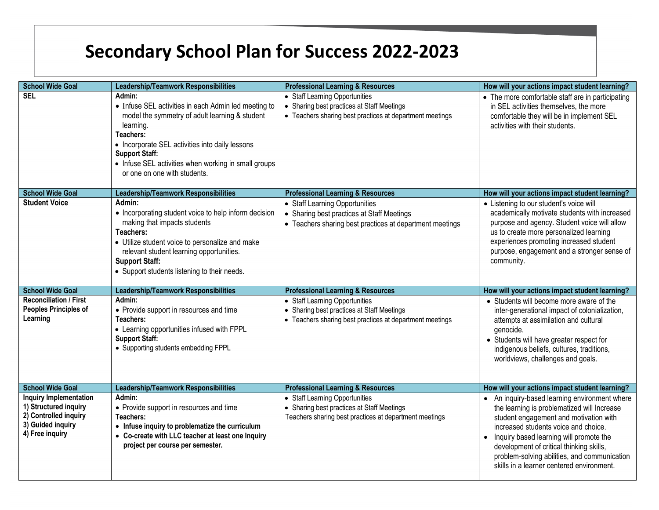| <b>School Wide Goal</b>                                                                                                 | <b>Leadership/Teamwork Responsibilities</b>                                                                                                                                                                                                                                                                    | <b>Professional Learning &amp; Resources</b>                                                                                             | How will your actions impact student learning?                                                                                                                                                                                                                                                                                                                     |
|-------------------------------------------------------------------------------------------------------------------------|----------------------------------------------------------------------------------------------------------------------------------------------------------------------------------------------------------------------------------------------------------------------------------------------------------------|------------------------------------------------------------------------------------------------------------------------------------------|--------------------------------------------------------------------------------------------------------------------------------------------------------------------------------------------------------------------------------------------------------------------------------------------------------------------------------------------------------------------|
| <b>SEL</b>                                                                                                              | Admin:<br>• Infuse SEL activities in each Admin led meeting to<br>model the symmetry of adult learning & student<br>learning.<br>Teachers:<br>• Incorporate SEL activities into daily lessons<br><b>Support Staff:</b><br>• Infuse SEL activities when working in small groups<br>or one on one with students. | • Staff Learning Opportunities<br>• Sharing best practices at Staff Meetings<br>• Teachers sharing best practices at department meetings | • The more comfortable staff are in participating<br>in SEL activities themselves, the more<br>comfortable they will be in implement SEL<br>activities with their students.                                                                                                                                                                                        |
| <b>School Wide Goal</b>                                                                                                 | <b>Leadership/Teamwork Responsibilities</b>                                                                                                                                                                                                                                                                    | <b>Professional Learning &amp; Resources</b>                                                                                             | How will your actions impact student learning?                                                                                                                                                                                                                                                                                                                     |
| <b>Student Voice</b>                                                                                                    | Admin:<br>• Incorporating student voice to help inform decision<br>making that impacts students<br>Teachers:<br>• Utilize student voice to personalize and make<br>relevant student learning opportunities.<br><b>Support Staff:</b><br>• Support students listening to their needs.                           | • Staff Learning Opportunities<br>• Sharing best practices at Staff Meetings<br>• Teachers sharing best practices at department meetings | • Listening to our student's voice will<br>academically motivate students with increased<br>purpose and agency. Student voice will allow<br>us to create more personalized learning<br>experiences promoting increased student<br>purpose, engagement and a stronger sense of<br>community.                                                                        |
| <b>School Wide Goal</b>                                                                                                 | <b>Leadership/Teamwork Responsibilities</b>                                                                                                                                                                                                                                                                    | <b>Professional Learning &amp; Resources</b>                                                                                             | How will your actions impact student learning?                                                                                                                                                                                                                                                                                                                     |
| <b>Reconciliation / First</b><br><b>Peoples Principles of</b><br>Learning                                               | Admin:<br>• Provide support in resources and time<br>Teachers:<br>• Learning opportunities infused with FPPL<br><b>Support Staff:</b><br>• Supporting students embedding FPPL                                                                                                                                  | • Staff Learning Opportunities<br>• Sharing best practices at Staff Meetings<br>• Teachers sharing best practices at department meetings | • Students will become more aware of the<br>inter-generational impact of colonialization,<br>attempts at assimilation and cultural<br>genocide.<br>• Students will have greater respect for<br>indigenous beliefs, cultures, traditions,<br>worldviews, challenges and goals.                                                                                      |
| <b>School Wide Goal</b>                                                                                                 | <b>Leadership/Teamwork Responsibilities</b>                                                                                                                                                                                                                                                                    | <b>Professional Learning &amp; Resources</b>                                                                                             | How will your actions impact student learning?                                                                                                                                                                                                                                                                                                                     |
| <b>Inquiry Implementation</b><br>1) Structured inquiry<br>2) Controlled inquiry<br>3) Guided inquiry<br>4) Free inquiry | Admin:<br>• Provide support in resources and time<br>Teachers:<br>• Infuse inquiry to problematize the curriculum<br>• Co-create with LLC teacher at least one Inquiry<br>project per course per semester.                                                                                                     | • Staff Learning Opportunities<br>• Sharing best practices at Staff Meetings<br>Teachers sharing best practices at department meetings   | An inquiry-based learning environment where<br>the learning is problematized will Increase<br>student engagement and motivation with<br>increased students voice and choice.<br>• Inquiry based learning will promote the<br>development of critical thinking skills,<br>problem-solving abilities, and communication<br>skills in a learner centered environment. |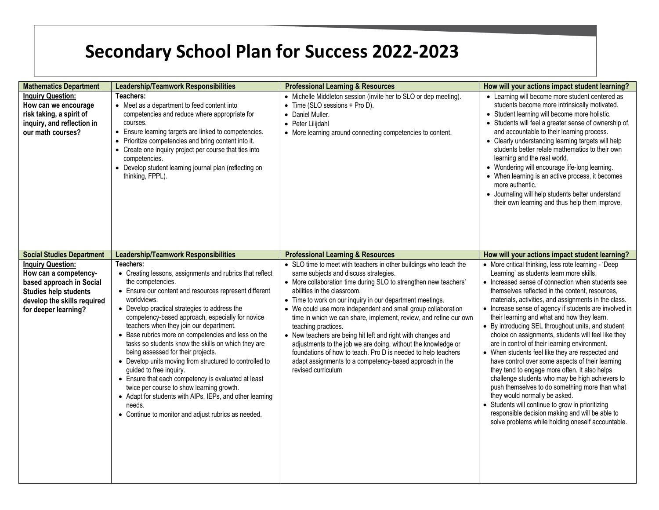| <b>Mathematics Department</b>                                                                                                                                        | <b>Leadership/Teamwork Responsibilities</b>                                                                                                                                                                                                                                                                                                                                                                                                                                                                                                                                                                                                                                                                                                                                                    | <b>Professional Learning &amp; Resources</b>                                                                                                                                                                                                                                                                                                                                                                                                                                                                                                                                                                                                                                                                               | How will your actions impact student learning?                                                                                                                                                                                                                                                                                                                                                                                                                                                                                                                                                                                                                                                                                                                                                                                                                                                                                                                                                     |
|----------------------------------------------------------------------------------------------------------------------------------------------------------------------|------------------------------------------------------------------------------------------------------------------------------------------------------------------------------------------------------------------------------------------------------------------------------------------------------------------------------------------------------------------------------------------------------------------------------------------------------------------------------------------------------------------------------------------------------------------------------------------------------------------------------------------------------------------------------------------------------------------------------------------------------------------------------------------------|----------------------------------------------------------------------------------------------------------------------------------------------------------------------------------------------------------------------------------------------------------------------------------------------------------------------------------------------------------------------------------------------------------------------------------------------------------------------------------------------------------------------------------------------------------------------------------------------------------------------------------------------------------------------------------------------------------------------------|----------------------------------------------------------------------------------------------------------------------------------------------------------------------------------------------------------------------------------------------------------------------------------------------------------------------------------------------------------------------------------------------------------------------------------------------------------------------------------------------------------------------------------------------------------------------------------------------------------------------------------------------------------------------------------------------------------------------------------------------------------------------------------------------------------------------------------------------------------------------------------------------------------------------------------------------------------------------------------------------------|
| <b>Inquiry Question:</b><br>How can we encourage<br>risk taking, a spirit of<br>inquiry, and reflection in<br>our math courses?                                      | Teachers:<br>• Meet as a department to feed content into<br>competencies and reduce where appropriate for<br>courses.<br>• Ensure learning targets are linked to competencies.<br>• Prioritize competencies and bring content into it.<br>• Create one inquiry project per course that ties into<br>competencies.<br>• Develop student learning journal plan (reflecting on<br>thinking, FPPL).                                                                                                                                                                                                                                                                                                                                                                                                | • Michelle Middleton session (invite her to SLO or dep meeting).<br>• Time (SLO sessions + Pro D).<br>• Daniel Muller.<br>• Peter Lilijdahl<br>• More learning around connecting competencies to content.                                                                                                                                                                                                                                                                                                                                                                                                                                                                                                                  | • Learning will become more student centered as<br>students become more intrinsically motivated.<br>• Student learning will become more holistic.<br>• Students will feel a greater sense of ownership of,<br>and accountable to their learning process.<br>• Clearly understanding learning targets will help<br>students better relate mathematics to their own<br>learning and the real world.<br>• Wondering will encourage life-long learning.<br>• When learning is an active process, it becomes<br>more authentic.<br>• Journaling will help students better understand<br>their own learning and thus help them improve.                                                                                                                                                                                                                                                                                                                                                                  |
| <b>Social Studies Department</b>                                                                                                                                     | <b>Leadership/Teamwork Responsibilities</b>                                                                                                                                                                                                                                                                                                                                                                                                                                                                                                                                                                                                                                                                                                                                                    | <b>Professional Learning &amp; Resources</b>                                                                                                                                                                                                                                                                                                                                                                                                                                                                                                                                                                                                                                                                               | How will your actions impact student learning?                                                                                                                                                                                                                                                                                                                                                                                                                                                                                                                                                                                                                                                                                                                                                                                                                                                                                                                                                     |
| <b>Inquiry Question:</b><br>How can a competency-<br>based approach in Social<br><b>Studies help students</b><br>develop the skills required<br>for deeper learning? | Teachers:<br>• Creating lessons, assignments and rubrics that reflect<br>the competencies.<br>• Ensure our content and resources represent different<br>worldviews.<br>• Develop practical strategies to address the<br>competency-based approach, especially for novice<br>teachers when they join our department.<br>• Base rubrics more on competencies and less on the<br>tasks so students know the skills on which they are<br>being assessed for their projects.<br>• Develop units moving from structured to controlled to<br>guided to free inquiry.<br>• Ensure that each competency is evaluated at least<br>twice per course to show learning growth.<br>• Adapt for students with AIPs, IEPs, and other learning<br>needs.<br>• Continue to monitor and adjust rubrics as needed. | • SLO time to meet with teachers in other buildings who teach the<br>same subjects and discuss strategies.<br>• More collaboration time during SLO to strengthen new teachers'<br>abilities in the classroom.<br>• Time to work on our inquiry in our department meetings.<br>• We could use more independent and small group collaboration<br>time in which we can share, implement, review, and refine our own<br>teaching practices.<br>• New teachers are being hit left and right with changes and<br>adjustments to the job we are doing, without the knowledge or<br>foundations of how to teach. Pro D is needed to help teachers<br>adapt assignments to a competency-based approach in the<br>revised curriculum | • More critical thinking, less rote learning - 'Deep<br>Learning' as students learn more skills.<br>• Increased sense of connection when students see<br>themselves reflected in the content, resources,<br>materials, activities, and assignments in the class.<br>• Increase sense of agency if students are involved in<br>their learning and what and how they learn.<br>• By introducing SEL throughout units, and student<br>choice on assignments, students will feel like they<br>are in control of their learning environment.<br>• When students feel like they are respected and<br>have control over some aspects of their learning<br>they tend to engage more often. It also helps<br>challenge students who may be high achievers to<br>push themselves to do something more than what<br>they would normally be asked.<br>• Students will continue to grow in prioritizing<br>responsible decision making and will be able to<br>solve problems while holding oneself accountable. |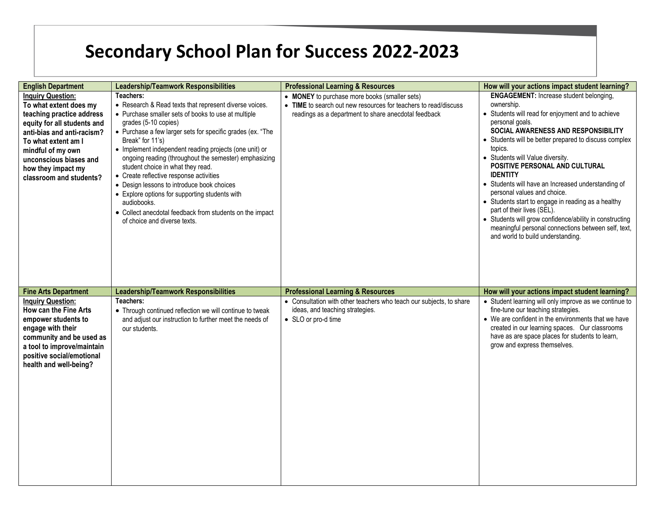| <b>English Department</b>                                                                                                                                                                                                                                           | <b>Leadership/Teamwork Responsibilities</b>                                                                                                                                                                                                                                                                                                                                                                                                                                                                                                                                                                                                        | <b>Professional Learning &amp; Resources</b>                                                                                                                             | How will your actions impact student learning?                                                                                                                                                                                                                                                                                                                                                                                                                                                                                                                                                                                                                           |
|---------------------------------------------------------------------------------------------------------------------------------------------------------------------------------------------------------------------------------------------------------------------|----------------------------------------------------------------------------------------------------------------------------------------------------------------------------------------------------------------------------------------------------------------------------------------------------------------------------------------------------------------------------------------------------------------------------------------------------------------------------------------------------------------------------------------------------------------------------------------------------------------------------------------------------|--------------------------------------------------------------------------------------------------------------------------------------------------------------------------|--------------------------------------------------------------------------------------------------------------------------------------------------------------------------------------------------------------------------------------------------------------------------------------------------------------------------------------------------------------------------------------------------------------------------------------------------------------------------------------------------------------------------------------------------------------------------------------------------------------------------------------------------------------------------|
| <b>Inquiry Question:</b><br>To what extent does my<br>teaching practice address<br>equity for all students and<br>anti-bias and anti-racism?<br>To what extent am I<br>mindful of my own<br>unconscious biases and<br>how they impact my<br>classroom and students? | Teachers:<br>• Research & Read texts that represent diverse voices.<br>• Purchase smaller sets of books to use at multiple<br>grades (5-10 copies)<br>• Purchase a few larger sets for specific grades (ex. "The<br>Break" for 11's)<br>• Implement independent reading projects (one unit) or<br>ongoing reading (throughout the semester) emphasizing<br>student choice in what they read.<br>• Create reflective response activities<br>• Design lessons to introduce book choices<br>• Explore options for supporting students with<br>audiobooks.<br>• Collect anecdotal feedback from students on the impact<br>of choice and diverse texts. | • MONEY to purchase more books (smaller sets)<br>• TIME to search out new resources for teachers to read/discuss<br>readings as a department to share anecdotal feedback | <b>ENGAGEMENT:</b> Increase student belonging,<br>ownership.<br>• Students will read for enjoyment and to achieve<br>personal goals.<br>SOCIAL AWARENESS AND RESPONSIBILITY<br>• Students will be better prepared to discuss complex<br>topics.<br>• Students will Value diversity.<br>POSITIVE PERSONAL AND CULTURAL<br><b>IDENTITY</b><br>• Students will have an Increased understanding of<br>personal values and choice.<br>• Students start to engage in reading as a healthy<br>part of their lives (SEL).<br>• Students will grow confidence/ability in constructing<br>meaningful personal connections between self, text,<br>and world to build understanding. |
| <b>Fine Arts Department</b>                                                                                                                                                                                                                                         | <b>Leadership/Teamwork Responsibilities</b>                                                                                                                                                                                                                                                                                                                                                                                                                                                                                                                                                                                                        | <b>Professional Learning &amp; Resources</b>                                                                                                                             | How will your actions impact student learning?                                                                                                                                                                                                                                                                                                                                                                                                                                                                                                                                                                                                                           |
| <b>Inquiry Question:</b><br>How can the Fine Arts<br>empower students to<br>engage with their<br>community and be used as<br>a tool to improve/maintain<br>positive social/emotional<br>health and well-being?                                                      | Teachers:<br>• Through continued reflection we will continue to tweak<br>and adjust our instruction to further meet the needs of<br>our students.                                                                                                                                                                                                                                                                                                                                                                                                                                                                                                  | • Consultation with other teachers who teach our subjects, to share<br>ideas, and teaching strategies.<br>• SLO or pro-d time                                            | • Student learning will only improve as we continue to<br>fine-tune our teaching strategies.<br>• We are confident in the environments that we have<br>created in our learning spaces. Our classrooms<br>have as are space places for students to learn,<br>grow and express themselves.                                                                                                                                                                                                                                                                                                                                                                                 |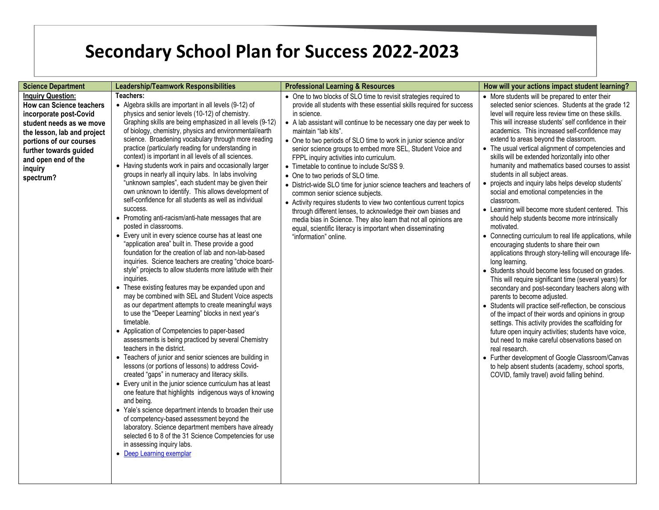| <b>Science Department</b>                                                                                                                                                                                                                            | <b>Leadership/Teamwork Responsibilities</b>                                                                                                                                                                                                                                                                                                                                                                                                                                                                                                                                                                                                                                                                                                                                                                                                                                                                                                                                                                                                                                                                                                                                                                                                                                                                                                                                                                                                                                                                                                                                                                                                                                                                                                                                                                                                                                                                                                                                                                                                                                                       | <b>Professional Learning &amp; Resources</b>                                                                                                                                                                                                                                                                                                                                                                                                                                                                                                                                                                                                                                                                                                                                                                                                                                                                                              | How will your actions impact student learning?                                                                                                                                                                                                                                                                                                                                                                                                                                                                                                                                                                                                                                                                                                                                                                                                                                                                                                                                                                                                                                                                                                                                                                                                                                                                                                                                                                                                                                                                                                                                                         |
|------------------------------------------------------------------------------------------------------------------------------------------------------------------------------------------------------------------------------------------------------|---------------------------------------------------------------------------------------------------------------------------------------------------------------------------------------------------------------------------------------------------------------------------------------------------------------------------------------------------------------------------------------------------------------------------------------------------------------------------------------------------------------------------------------------------------------------------------------------------------------------------------------------------------------------------------------------------------------------------------------------------------------------------------------------------------------------------------------------------------------------------------------------------------------------------------------------------------------------------------------------------------------------------------------------------------------------------------------------------------------------------------------------------------------------------------------------------------------------------------------------------------------------------------------------------------------------------------------------------------------------------------------------------------------------------------------------------------------------------------------------------------------------------------------------------------------------------------------------------------------------------------------------------------------------------------------------------------------------------------------------------------------------------------------------------------------------------------------------------------------------------------------------------------------------------------------------------------------------------------------------------------------------------------------------------------------------------------------------------|-------------------------------------------------------------------------------------------------------------------------------------------------------------------------------------------------------------------------------------------------------------------------------------------------------------------------------------------------------------------------------------------------------------------------------------------------------------------------------------------------------------------------------------------------------------------------------------------------------------------------------------------------------------------------------------------------------------------------------------------------------------------------------------------------------------------------------------------------------------------------------------------------------------------------------------------|--------------------------------------------------------------------------------------------------------------------------------------------------------------------------------------------------------------------------------------------------------------------------------------------------------------------------------------------------------------------------------------------------------------------------------------------------------------------------------------------------------------------------------------------------------------------------------------------------------------------------------------------------------------------------------------------------------------------------------------------------------------------------------------------------------------------------------------------------------------------------------------------------------------------------------------------------------------------------------------------------------------------------------------------------------------------------------------------------------------------------------------------------------------------------------------------------------------------------------------------------------------------------------------------------------------------------------------------------------------------------------------------------------------------------------------------------------------------------------------------------------------------------------------------------------------------------------------------------------|
| <b>Inquiry Question:</b><br><b>How can Science teachers</b><br>incorporate post-Covid<br>student needs as we move<br>the lesson, lab and project<br>portions of our courses<br>further towards guided<br>and open end of the<br>inquiry<br>spectrum? | Teachers:<br>• Algebra skills are important in all levels (9-12) of<br>physics and senior levels (10-12) of chemistry.<br>Graphing skills are being emphasized in all levels (9-12)<br>of biology, chemistry, physics and environmental/earth<br>science. Broadening vocabulary through more reading<br>practice (particularly reading for understanding in<br>context) is important in all levels of all sciences.<br>• Having students work in pairs and occasionally larger<br>groups in nearly all inquiry labs. In labs involving<br>"unknown samples", each student may be given their<br>own unknown to identify. This allows development of<br>self-confidence for all students as well as individual<br>success.<br>• Promoting anti-racism/anti-hate messages that are<br>posted in classrooms.<br>• Every unit in every science course has at least one<br>"application area" built in. These provide a good<br>foundation for the creation of lab and non-lab-based<br>inquiries. Science teachers are creating "choice board-<br>style" projects to allow students more latitude with their<br>inquiries.<br>• These existing features may be expanded upon and<br>may be combined with SEL and Student Voice aspects<br>as our department attempts to create meaningful ways<br>to use the "Deeper Learning" blocks in next year's<br>timetable.<br>• Application of Competencies to paper-based<br>assessments is being practiced by several Chemistry<br>teachers in the district.<br>• Teachers of junior and senior sciences are building in<br>lessons (or portions of lessons) to address Covid-<br>created "gaps" in numeracy and literacy skills.<br>• Every unit in the junior science curriculum has at least<br>one feature that highlights indigenous ways of knowing<br>and being.<br>• Yale's science department intends to broaden their use<br>of competency-based assessment beyond the<br>laboratory. Science department members have already<br>selected 6 to 8 of the 31 Science Competencies for use<br>in assessing inquiry labs.<br>• Deep Learning exemplar | • One to two blocks of SLO time to revisit strategies required to<br>provide all students with these essential skills required for success<br>in science.<br>• A lab assistant will continue to be necessary one day per week to<br>maintain "lab kits".<br>• One to two periods of SLO time to work in junior science and/or<br>senior science groups to embed more SEL, Student Voice and<br>FPPL inquiry activities into curriculum.<br>• Timetable to continue to include Sc/SS 9.<br>• One to two periods of SLO time.<br>• District-wide SLO time for junior science teachers and teachers of<br>common senior science subjects.<br>• Activity requires students to view two contentious current topics<br>through different lenses, to acknowledge their own biases and<br>media bias in Science. They also learn that not all opinions are<br>equal, scientific literacy is important when disseminating<br>"information" online. | • More students will be prepared to enter their<br>selected senior sciences. Students at the grade 12<br>level will require less review time on these skills.<br>This will increase students' self confidence in their<br>academics. This increased self-confidence may<br>extend to areas beyond the classroom.<br>• The usual vertical alignment of competencies and<br>skills will be extended horizontally into other<br>humanity and mathematics based courses to assist<br>students in all subject areas.<br>• projects and inquiry labs helps develop students'<br>social and emotional competencies in the<br>classroom.<br>• Learning will become more student centered. This<br>should help students become more intrinsically<br>motivated.<br>• Connecting curriculum to real life applications, while<br>encouraging students to share their own<br>applications through story-telling will encourage life-<br>long learning.<br>• Students should become less focused on grades.<br>This will require significant time (several years) for<br>secondary and post-secondary teachers along with<br>parents to become adjusted.<br>• Students will practice self-reflection, be conscious<br>of the impact of their words and opinions in group<br>settings. This activity provides the scaffolding for<br>future open inquiry activities; students have voice,<br>but need to make careful observations based on<br>real research.<br>• Further development of Google Classroom/Canvas<br>to help absent students (academy, school sports,<br>COVID, family travel) avoid falling behind. |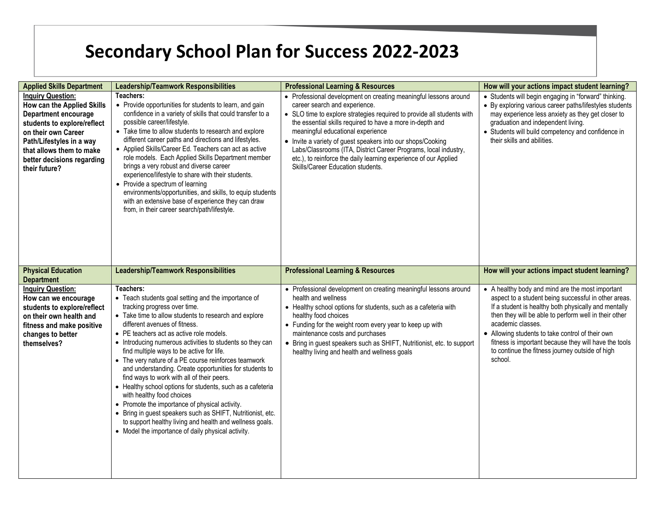| <b>Applied Skills Department</b>                                                                                                                                                                                                            | <b>Leadership/Teamwork Responsibilities</b>                                                                                                                                                                                                                                                                                                                                                                                                                                                                                                                                                                                                                                                                                                                                                                                                     | <b>Professional Learning &amp; Resources</b>                                                                                                                                                                                                                                                                                                                                                                                                                                                                             | How will your actions impact student learning?                                                                                                                                                                                                                                                                                                                                                                            |
|---------------------------------------------------------------------------------------------------------------------------------------------------------------------------------------------------------------------------------------------|-------------------------------------------------------------------------------------------------------------------------------------------------------------------------------------------------------------------------------------------------------------------------------------------------------------------------------------------------------------------------------------------------------------------------------------------------------------------------------------------------------------------------------------------------------------------------------------------------------------------------------------------------------------------------------------------------------------------------------------------------------------------------------------------------------------------------------------------------|--------------------------------------------------------------------------------------------------------------------------------------------------------------------------------------------------------------------------------------------------------------------------------------------------------------------------------------------------------------------------------------------------------------------------------------------------------------------------------------------------------------------------|---------------------------------------------------------------------------------------------------------------------------------------------------------------------------------------------------------------------------------------------------------------------------------------------------------------------------------------------------------------------------------------------------------------------------|
| <b>Inquiry Question:</b><br>How can the Applied Skills<br>Department encourage<br>students to explore/reflect<br>on their own Career<br>Path/Lifestyles in a way<br>that allows them to make<br>better decisions regarding<br>their future? | Teachers:<br>• Provide opportunities for students to learn, and gain<br>confidence in a variety of skills that could transfer to a<br>possible career/lifestyle.<br>• Take time to allow students to research and explore<br>different career paths and directions and lifestyles.<br>• Applied Skills/Career Ed. Teachers can act as active<br>role models. Each Applied Skills Department member<br>brings a very robust and diverse career<br>experience/lifestyle to share with their students.<br>• Provide a spectrum of learning<br>environments/opportunities, and skills, to equip students<br>with an extensive base of experience they can draw<br>from, in their career search/path/lifestyle.                                                                                                                                      | • Professional development on creating meaningful lessons around<br>career search and experience.<br>• SLO time to explore strategies required to provide all students with<br>the essential skills required to have a more in-depth and<br>meaningful educational experience<br>• Invite a variety of guest speakers into our shops/Cooking<br>Labs/Classrooms (ITA, District Career Programs, local industry,<br>etc.), to reinforce the daily learning experience of our Applied<br>Skills/Career Education students. | • Students will begin engaging in "forward" thinking.<br>• By exploring various career paths/lifestyles students<br>may experience less anxiety as they get closer to<br>graduation and independent living.<br>• Students will build competency and confidence in<br>their skills and abilities.                                                                                                                          |
| <b>Physical Education</b><br><b>Department</b>                                                                                                                                                                                              | <b>Leadership/Teamwork Responsibilities</b>                                                                                                                                                                                                                                                                                                                                                                                                                                                                                                                                                                                                                                                                                                                                                                                                     | <b>Professional Learning &amp; Resources</b>                                                                                                                                                                                                                                                                                                                                                                                                                                                                             | How will your actions impact student learning?                                                                                                                                                                                                                                                                                                                                                                            |
| <b>Inquiry Question:</b><br>How can we encourage<br>students to explore/reflect<br>on their own health and<br>fitness and make positive<br>changes to better<br>themselves?                                                                 | Teachers:<br>• Teach students goal setting and the importance of<br>tracking progress over time.<br>• Take time to allow students to research and explore<br>different avenues of fitness.<br>• PE teachers act as active role models.<br>• Introducing numerous activities to students so they can<br>find multiple ways to be active for life.<br>• The very nature of a PE course reinforces teamwork<br>and understanding. Create opportunities for students to<br>find ways to work with all of their peers.<br>• Healthy school options for students, such as a cafeteria<br>with healthy food choices<br>• Promote the importance of physical activity.<br>• Bring in quest speakers such as SHIFT, Nutritionist, etc.<br>to support healthy living and health and wellness goals.<br>• Model the importance of daily physical activity. | • Professional development on creating meaningful lessons around<br>health and wellness<br>• Healthy school options for students, such as a cafeteria with<br>healthy food choices<br>• Funding for the weight room every year to keep up with<br>maintenance costs and purchases<br>• Bring in guest speakers such as SHIFT, Nutritionist, etc. to support<br>healthy living and health and wellness goals                                                                                                              | • A healthy body and mind are the most important<br>aspect to a student being successful in other areas.<br>If a student is healthy both physically and mentally<br>then they will be able to perform well in their other<br>academic classes.<br>• Allowing students to take control of their own<br>fitness is important because they will have the tools<br>to continue the fitness journey outside of high<br>school. |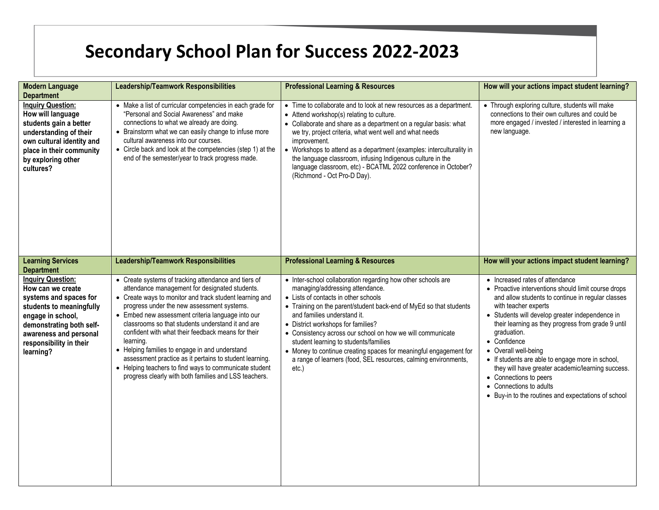| <b>Modern Language</b><br><b>Department</b>                                                                                                                                                                            | <b>Leadership/Teamwork Responsibilities</b>                                                                                                                                                                                                                                                                                                                                                                                                                                                                                                                                                                                  | <b>Professional Learning &amp; Resources</b>                                                                                                                                                                                                                                                                                                                                                                                                                                                                                               | How will your actions impact student learning?                                                                                                                                                                                                                                                                                                                                                                                                                                                                                                           |
|------------------------------------------------------------------------------------------------------------------------------------------------------------------------------------------------------------------------|------------------------------------------------------------------------------------------------------------------------------------------------------------------------------------------------------------------------------------------------------------------------------------------------------------------------------------------------------------------------------------------------------------------------------------------------------------------------------------------------------------------------------------------------------------------------------------------------------------------------------|--------------------------------------------------------------------------------------------------------------------------------------------------------------------------------------------------------------------------------------------------------------------------------------------------------------------------------------------------------------------------------------------------------------------------------------------------------------------------------------------------------------------------------------------|----------------------------------------------------------------------------------------------------------------------------------------------------------------------------------------------------------------------------------------------------------------------------------------------------------------------------------------------------------------------------------------------------------------------------------------------------------------------------------------------------------------------------------------------------------|
| <b>Inquiry Question:</b><br>How will language<br>students gain a better<br>understanding of their<br>own cultural identity and<br>place in their community<br>by exploring other<br>cultures?                          | • Make a list of curricular competencies in each grade for<br>"Personal and Social Awareness" and make<br>connections to what we already are doing.<br>• Brainstorm what we can easily change to infuse more<br>cultural awareness into our courses.<br>• Circle back and look at the competencies (step 1) at the<br>end of the semester/year to track progress made.                                                                                                                                                                                                                                                       | • Time to collaborate and to look at new resources as a department.<br>• Attend workshop(s) relating to culture.<br>• Collaborate and share as a department on a regular basis: what<br>we try, project criteria, what went well and what needs<br>improvement.<br>• Workshops to attend as a department (examples: interculturality in<br>the language classroom, infusing Indigenous culture in the<br>language classroom, etc) - BCATML 2022 conference in October?<br>(Richmond - Oct Pro-D Day).                                      | • Through exploring culture, students will make<br>connections to their own cultures and could be<br>more engaged / invested / interested in learning a<br>new language.                                                                                                                                                                                                                                                                                                                                                                                 |
| <b>Learning Services</b><br><b>Department</b>                                                                                                                                                                          | <b>Leadership/Teamwork Responsibilities</b>                                                                                                                                                                                                                                                                                                                                                                                                                                                                                                                                                                                  | <b>Professional Learning &amp; Resources</b>                                                                                                                                                                                                                                                                                                                                                                                                                                                                                               | How will your actions impact student learning?                                                                                                                                                                                                                                                                                                                                                                                                                                                                                                           |
| <b>Inquiry Question:</b><br>How can we create<br>systems and spaces for<br>students to meaningfully<br>engage in school,<br>demonstrating both self-<br>awareness and personal<br>responsibility in their<br>learning? | • Create systems of tracking attendance and tiers of<br>attendance management for designated students.<br>• Create ways to monitor and track student learning and<br>progress under the new assessment systems.<br>• Embed new assessment criteria language into our<br>classrooms so that students understand it and are<br>confident with what their feedback means for their<br>learning.<br>• Helping families to engage in and understand<br>assessment practice as it pertains to student learning.<br>• Helping teachers to find ways to communicate student<br>progress clearly with both families and LSS teachers. | • Inter-school collaboration regarding how other schools are<br>managing/addressing attendance.<br>• Lists of contacts in other schools<br>• Training on the parent/student back-end of MyEd so that students<br>and families understand it.<br>• District workshops for families?<br>• Consistency across our school on how we will communicate<br>student learning to students/families<br>• Money to continue creating spaces for meaningful engagement for<br>a range of learners (food, SEL resources, calming environments,<br>etc.) | • Increased rates of attendance<br>• Proactive interventions should limit course drops<br>and allow students to continue in regular classes<br>with teacher experts<br>• Students will develop greater independence in<br>their learning as they progress from grade 9 until<br>graduation.<br>• Confidence<br>• Overall well-being<br>• If students are able to engage more in school,<br>they will have greater academic/learning success.<br>• Connections to peers<br>• Connections to adults<br>• Buy-in to the routines and expectations of school |